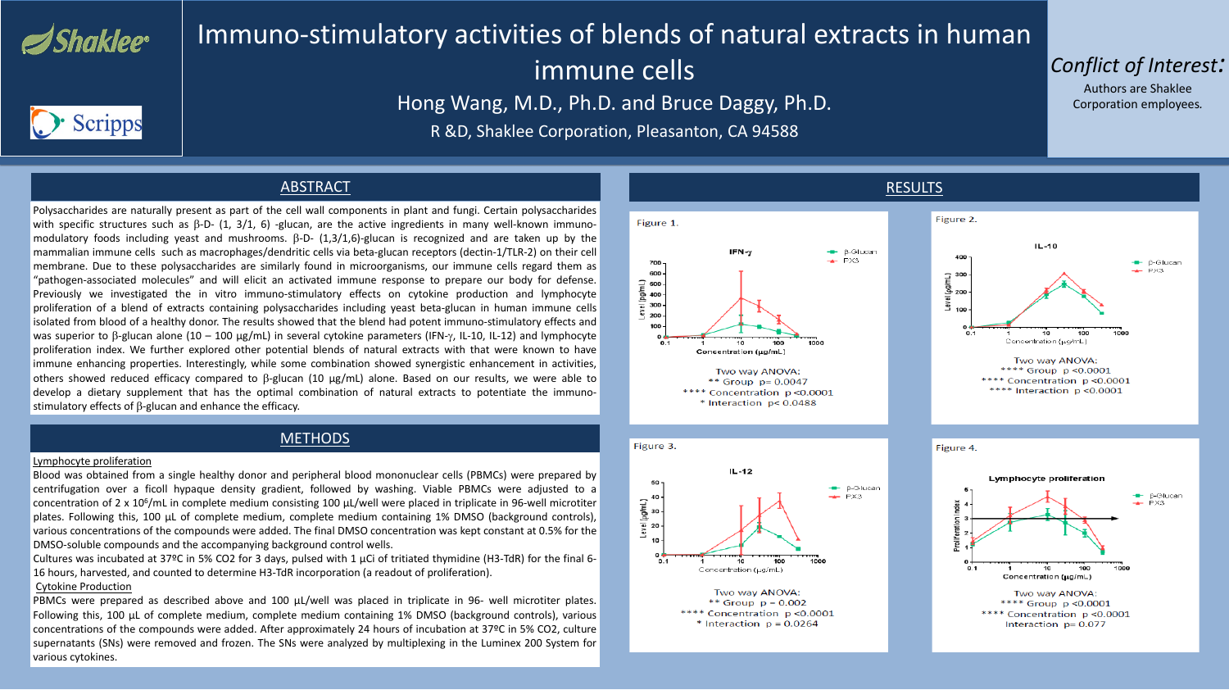

## Immuno-stimulatory activities of blends of natural extracts in human immune cells Hong Wang, M.D., Ph.D. and Bruce Daggy, Ph.D. R &D, Shaklee Corporation, Pleasanton, CA 94588



## ABSTRACT

Polysaccharides are naturally present as part of the cell wall components in plant and fungi. Certain polysaccharides with specific structures such as  $\beta$ -D- (1, 3/1, 6) -glucan, are the active ingredients in many well-known immunomodulatory foods including yeast and mushrooms.  $\beta$ -D- (1,3/1,6)-glucan is recognized and are taken up by the mammalian immune cells such as macrophages/dendritic cells via beta-glucan receptors (dectin-1/TLR-2) on their cell membrane. Due to these polysaccharides are similarly found in microorganisms, our immune cells regard them as "pathogen-associated molecules" and will elicit an activated immune response to prepare our body for defense. Previously we investigated the in vitro immuno-stimulatory effects on cytokine production and lymphocyte proliferation of a blend of extracts containing polysaccharides including yeast beta-glucan in human immune cells isolated from blood of a healthy donor. The results showed that the blend had potent immuno-stimulatory effects and was superior to  $\beta$ -glucan alone (10 – 100 µg/mL) in several cytokine parameters (IFN- $\gamma$ , IL-10, IL-12) and lymphocyte proliferation index. We further explored other potential blends of natural extracts with that were known to have immune enhancing properties. Interestingly, while some combination showed synergistic enhancement in activities, others showed reduced efficacy compared to β-glucan (10 µg/mL) alone. Based on our results, we were able to develop a dietary supplement that has the optimal combination of natural extracts to potentiate the immunostimulatory effects of β-glucan and enhance the efficacy.

## METHODS

### Lymphocyte proliferation







Blood was obtained from a single healthy donor and peripheral blood mononuclear cells (PBMCs) were prepared by centrifugation over a ficoll hypaque density gradient, followed by washing. Viable PBMCs were adjusted to a concentration of 2 x 106/mL in complete medium consisting 100 μL/well were placed in triplicate in 96-well microtiter plates. Following this, 100 μL of complete medium, complete medium containing 1% DMSO (background controls), various concentrations of the compounds were added. The final DMSO concentration was kept constant at 0.5% for the DMSO-soluble compounds and the accompanying background control wells. Cultures was incubated at 37°C in 5% CO2 for 3 days, pulsed with 1  $\mu$ Ci of tritiated thymidine (H3-TdR) for the final 6-16 hours, harvested, and counted to determine H3-TdR incorporation (a readout of proliferation). Cytokine Production

PBMCs were prepared as described above and 100 μL/well was placed in triplicate in 96- well microtiter plates. Following this, 100 μL of complete medium, complete medium containing 1% DMSO (background controls), various concentrations of the compounds were added. After approximately 24 hours of incubation at 37ºC in 5% CO2, culture supernatants (SNs) were removed and frozen. The SNs were analyzed by multiplexing in the Luminex 200 System for various cytokines.